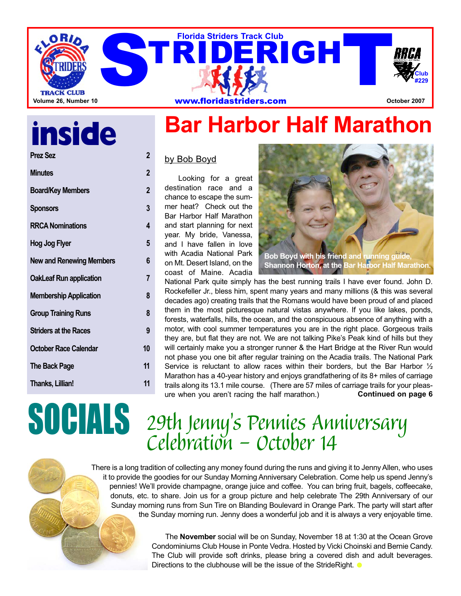

# **inside**

| <b>Prez Sez</b>                 | 2           |
|---------------------------------|-------------|
| <b>Minutes</b>                  | $\mathbf 2$ |
| <b>Board/Key Members</b>        | 2           |
| <b>Sponsors</b>                 | 3           |
| <b>RRCA Nominations</b>         | 4           |
| <b>Hog Jog Flyer</b>            | 5           |
| <b>New and Renewing Members</b> | 6           |
| <b>OakLeaf Run application</b>  | 7           |
| <b>Membership Application</b>   | 8           |
| <b>Group Training Runs</b>      | 8           |
| <b>Striders at the Races</b>    | 9           |
| October Race Calendar           | 10          |
| <b>The Back Page</b>            | 11          |
| Thanks, Lillian!                | 11          |
|                                 |             |

## **Bar Harbor Half Marathon**

by Bob Boyd

Looking for a great destination race and a chance to escape the summer heat? Check out the Bar Harbor Half Marathon and start planning for next year. My bride, Vanessa, and I have fallen in love with Acadia National Park on Mt. Desert Island, on the coast of Maine. Acadia



**Shannon Horton, at the Bar Harbor Half Marathon.**

National Park quite simply has the best running trails I have ever found. John D. Rockefeller Jr., bless him, spent many years and many millions (& this was several decades ago) creating trails that the Romans would have been proud of and placed them in the most picturesque natural vistas anywhere. If you like lakes, ponds, forests, waterfalls, hills, the ocean, and the conspicuous absence of anything with a motor, with cool summer temperatures you are in the right place. Gorgeous trails they are, but flat they are not. We are not talking Pike's Peak kind of hills but they will certainly make you a stronger runner & the Hart Bridge at the River Run would not phase you one bit after regular training on the Acadia trails. The National Park Service is reluctant to allow races within their borders, but the Bar Harbor  $\frac{1}{2}$ Marathon has a 40-year history and enjoys grandfathering of its 8+ miles of carriage trails along its 13.1 mile course. (There are 57 miles of carriage trails for your pleasure when you aren't racing the half marathon.) **Continued on page 6**

## SOCIALS *29th Jenny's Pennies Anniversary Celebration - October 14*

There is a long tradition of collecting any money found during the runs and giving it to Jenny Allen, who uses it to provide the goodies for our Sunday Morning Anniversary Celebration. Come help us spend Jenny's pennies! We'll provide champagne, orange juice and coffee. You can bring fruit, bagels, coffeecake, donuts, etc. to share. Join us for a group picture and help celebrate The 29th Anniversary of our Sunday morning runs from Sun Tire on Blanding Boulevard in Orange Park. The party will start after the Sunday morning run. Jenny does a wonderful job and it is always a very enjoyable time.

> The **November** social will be on Sunday, November 18 at 1:30 at the Ocean Grove Condominiums Club House in Ponte Vedra. Hosted by Vicki Choinski and Bernie Candy. The Club will provide soft drinks, please bring a covered dish and adult beverages. Directions to the clubhouse will be the issue of the StrideRight.  $\bullet$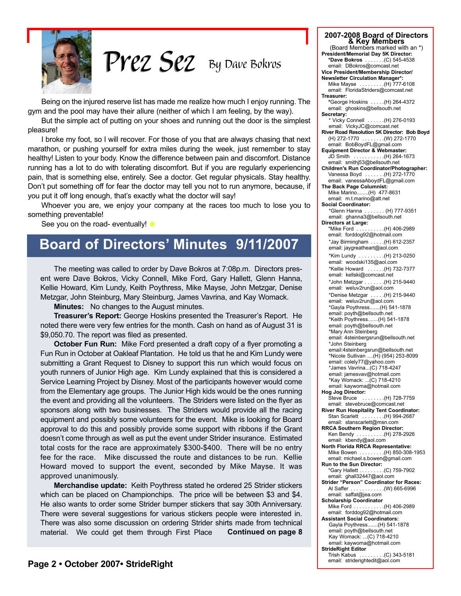

*By Dave Bokros Prez Sez Prez Sez*

Being on the injured reserve list has made me realize how much I enjoy running. The gym and the pool may have their allure (neither of which I am feeling, by the way).

But the simple act of putting on your shoes and running out the door is the simplest pleasure!

I broke my foot, so I will recover. For those of you that are always chasing that next marathon, or pushing yourself for extra miles during the week, just remember to stay healthy! Listen to your body. Know the difference between pain and discomfort. Distance running has a lot to do with tolerating discomfort. But if you are regularly experiencing pain, that is something else, entirely. See a doctor. Get regular physicals. Stay healthy. Don't put something off for fear the doctor may tell you not to run anymore, because, if you put it off long enough, that's exactly what the doctor will say!

Whoever you are, we enjoy your company at the races too much to lose you to something preventable!

See you on the road- eventually!  $\bullet$ 

## **Board of Directors' Minutes 9/11/2007**

The meeting was called to order by Dave Bokros at 7:08p.m. Directors present were Dave Bokros, Vicky Connell, Mike Ford, Gary Hallett, Glenn Hanna, Kellie Howard, Kim Lundy, Keith Poythress, Mike Mayse, John Metzgar, Denise Metzgar, John Steinburg, Mary Steinburg, James Vavrina, and Kay Womack.

**Minutes:** No changes to the August minutes.

**Treasurer's Report:** George Hoskins presented the Treasurer's Report. He noted there were very few entries for the month. Cash on hand as of August 31 is \$9,050.70. The report was filed as presented.

**October Fun Run:** Mike Ford presented a draft copy of a flyer promoting a Fun Run in October at Oakleaf Plantation. He told us that he and Kim Lundy were submitting a Grant Request to Disney to support this run which would focus on youth runners of Junior High age. Kim Lundy explained that this is considered a Service Learning Project by Disney. Most of the participants however would come from the Elementary age groups. The Junior High kids would be the ones running the event and providing all the volunteers. The Striders were listed on the flyer as sponsors along with two businesses. The Striders would provide all the racing equipment and possibly some volunteers for the event. Mike is looking for Board approval to do this and possibly provide some support with ribbons if the Grant doesn't come through as well as put the event under Strider insurance. Estimated total costs for the race are approximately \$300-\$400. There will be no entry fee for the race. Mike discussed the route and distances to be run. Kellie Howard moved to support the event, seconded by Mike Mayse. It was approved unanimously.

**Merchandise update:** Keith Poythress stated he ordered 25 Strider stickers which can be placed on Championchips. The price will be between \$3 and \$4. He also wants to order some Strider bumper stickers that say 30th Anniversary. There were several suggestions for various stickers people were interested in. There was also some discussion on ordering Strider shirts made from technical material. We could get them through First Place **Continued on page 8**

**8 Key Members**<br>(Board Members marked with an \*) **President/Memorial Day 5K Director: \*Dave Bokros** . . . . . . .(C) 545-4538 email: DBokros@comcast.net **Vice President/Membership Director/ Newsletter Circulation Manager\*:** Mike Mayse . . . . . . . . .(H) 777-6108 email: FloridaStriders@comcast.net **Treasurer: \***George Hoskins . . . . .(H) 264-4372 email: ghoskins@bellsouth.net **Secretary:** \* Vicky Connell . . . . . .(H) 276-0193 email: VickyJC@comcast.net **River Road Resolution 5K Director: Bob Boyd** (H) 272-1770 . . . . . . . .(W) 272-1770 email: BobBoydFL@gmail.com **Equipment Director & Webmaster:** JD Smith . . . . . . . . . . .(H) 264-1673 email: smithj53@bellsouth.net **Children's Run Coordinator/Photographer:** Vanessa Boyd . . . . . . .(H) 272-1770 email: vanessaAboydFL@gmail.com **The Back Page Columnist:** Mike Marino........(H) 477-8631 email: m.t.marino@att.net **Social Coordinator:** \*Glenn Hanna . . . . . . . (H) 777-9351 email: ghanna3@bellsouth.net **Directors at Large:** \*Mike Ford . . . . . . . . . .(H) 406-2989 email: forddog92@hotmail.com \*Jay Birmingham . . . . .(H) 612-2357 email: jaygreatheart@aol.com \*Kim Lundy . . . . . . . . .(H) 213-0250 email: woodski135@aol.com \*Kellie Howard . . . . . .(H) 732-7377 email: kellski@comcast.net \*John Metzgar . . . . . . .(H) 215-9440 email: weluv2run@aol.com \*Denise Metzgar . . . . .(H) 215-9440 email: weluv2run@aol.com \*Gayla Poythress.......(H) 541-1878 email: poyth@bellsouth.net \*Keith Poythress.......(H) 541-1878 email: poyth@bellsouth.net \*Mary Ann Steinberg email: 4steinbergsrun@bellsouth.net \*John Steinberg email:4steinbergsrun@bellsouth.net \*Nicole Sullivan ....(H) (954) 253-8099 email: colely77@yahoo.com \*James Vavrina...(C) 718-4247 email: jamesvav@hotmail.com \*Kay Womack: ...(C) 718-4210 email: kaywoma@hotmail.com **Hog Jog Director:** Steve Bruce . . . . . . . .(H) 728-7759 email: stevebruce@comcast.net **River Run Hospitality Tent Coordinator:** Stan Scarlett . . . . . . . .(H) 994-2687 email: stanscarlett@msn.com **RRCA Southern Region Director:** Ken Bendy . . . . . . . . . .(H) 278-2926 email: kbendy@aol.com **North Florida RRCA Representative:** Mike Bowen . . . . . . . . . . (H) 850-308-1953 email: michael.s.bowen@gmail.com **Run to the Sun Director:** \*Gary Hallett . . . . . . . . .(C) 759-7902 email: ghall32447@aol.com **Strider "Person" Coordinator for Races:** Al Saffer . . . . . . . . . . . .(W) 665-6996 email: saffat@jea.com **Scholarship Coordinator** Mike Ford . . . . . . . . . . . . (H) 406-2989 email: forddog92@hotmail.com **Assistant Social Coordinators:** Gayla Poythress.......(H) 541-1878 email: poyth@bellsouth.net Kay Womack: ...(C) 718-4210

email: kaywoma@hotmail.com

Trish Kabus . . . . . . . . . . (C) 343-5181<br>email: striderightedit@aol.com

**StrideRight Editor**

**2007-2008 Board of Directors**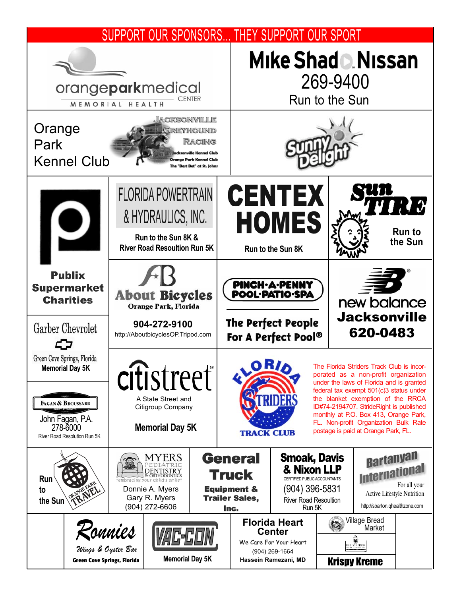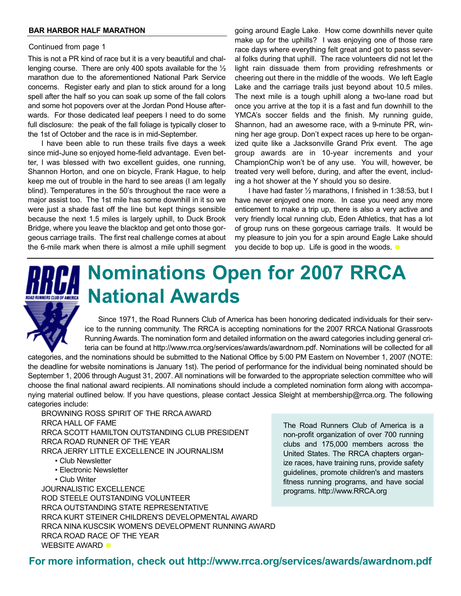#### **BAR HARBOR HALF MARATHON**

#### Continued from page 1

This is not a PR kind of race but it is a very beautiful and challenging course. There are only 400 spots available for the ½ marathon due to the aforementioned National Park Service concerns. Register early and plan to stick around for a long spell after the half so you can soak up some of the fall colors and some hot popovers over at the Jordan Pond House afterwards. For those dedicated leaf peepers I need to do some full disclosure: the peak of the fall foliage is typically closer to the 1st of October and the race is in mid-September.

I have been able to run these trails five days a week since mid-June so enjoyed home-field advantage. Even better, I was blessed with two excellent guides, one running, Shannon Horton, and one on bicycle, Frank Hague, to help keep me out of trouble in the hard to see areas (I am legally blind). Temperatures in the 50's throughout the race were a major assist too. The 1st mile has some downhill in it so we were just a shade fast off the line but kept things sensible because the next 1.5 miles is largely uphill, to Duck Brook Bridge, where you leave the blacktop and get onto those gorgeous carriage trails. The first real challenge comes at about the 6-mile mark when there is almost a mile uphill segment going around Eagle Lake. How come downhills never quite make up for the uphills? I was enjoying one of those rare race days where everything felt great and got to pass several folks during that uphill. The race volunteers did not let the light rain dissuade them from providing refreshments or cheering out there in the middle of the woods. We left Eagle Lake and the carriage trails just beyond about 10.5 miles. The next mile is a tough uphill along a two-lane road but once you arrive at the top it is a fast and fun downhill to the YMCA's soccer fields and the finish. My running guide, Shannon, had an awesome race, with a 9-minute PR, winning her age group. Don't expect races up here to be organized quite like a Jacksonville Grand Prix event. The age group awards are in 10-year increments and your ChampionChip won't be of any use. You will, however, be treated very well before, during, and after the event, including a hot shower at the Y should you so desire.

I have had faster ½ marathons, I finished in 1:38:53, but I have never enjoyed one more. In case you need any more enticement to make a trip up, there is also a very active and very friendly local running club, Eden Athletics, that has a lot of group runs on these gorgeous carriage trails. It would be my pleasure to join you for a spin around Eagle Lake should you decide to bop up. Life is good in the woods.



## **Nominations Open for 2007 RRCA National Awards**

Since 1971, the Road Runners Club of America has been honoring dedicated individuals for their service to the running community. The RRCA is accepting nominations for the 2007 RRCA National Grassroots Running Awards. The nomination form and detailed information on the award categories including general criteria can be found at http://www.rrca.org/services/awards/awardnom.pdf. Nominations will be collected for all

categories, and the nominations should be submitted to the National Office by 5:00 PM Eastern on November 1, 2007 (NOTE: the deadline for website nominations is January 1st). The period of performance for the individual being nominated should be September 1, 2006 through August 31, 2007. All nominations will be forwarded to the appropriate selection committee who will choose the final national award recipients. All nominations should include a completed nomination form along with accompanying material outlined below. If you have questions, please contact Jessica Sleight at membership@rrca.org. The following categories include:

BROWNING ROSS SPIRIT OF THE RRCA AWARD RRCA HALL OF FAME RRCA SCOTT HAMILTON OUTSTANDING CLUB PRESIDENT RRCA ROAD RUNNER OF THE YEAR RRCA JERRY LITTLE EXCELLENCE IN JOURNALISM

• Club Newsletter

- Electronic Newsletter
- Club Writer

JOURNALISTIC EXCELLENCE ROD STEELE OUTSTANDING VOLUNTEER RRCA OUTSTANDING STATE REPRESENTATIVE RRCA KURT STEINER CHILDREN'S DEVELOPMENTAL AWARD RRCA NINA KUSCSIK WOMEN'S DEVELOPMENT RUNNING AWARD RRCA ROAD RACE OF THE YEAR WEBSITE AWARD **O** 

The Road Runners Club of America is a non-profit organization of over 700 running clubs and 175,000 members across the United States. The RRCA chapters organize races, have training runs, provide safety guidelines, promote children's and masters fitness running programs, and have social programs. http://www.RRCA.org

**For more information, check out http://www.rrca.org/services/awards/awardnom.pdf**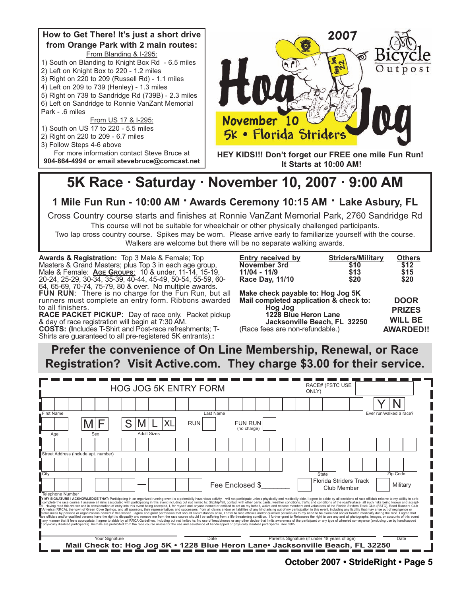

## 5K Race · Saturday · November 10, 2007 · 9:00 AM

#### **1 Mile Fun Run - 10:00 AM · Awards Ceremony 10:15 AM · Lake Asbury, FL**

Cross Country course starts and finishes at Ronnie VanZant Memorial Park, 2760 Sandridge Rd This course will not be suitable for wheelchair or other physically challenged participants.

Two lap cross country course. Spikes may be worn. Please arrive early to familiarize yourself with the course. Walkers are welcome but there will be no separate walking awards.

**Awards & Registration:** Top 3 Male & Female; Top Masters & Grand Masters; plus Top 3 in each age group, Male & Female: **AGE GROUPS**: 10 & under, 11-14, 15-19, 20-24, 25-29, 30-34, 35-39, 40-44, 45-49, 50-54, 55-59, 60- 64, 65-69, 70-74, 75-79, 80 & over. No multiple awards. **FUN RUN**: There is no charge for the Fun Run, but all runners must complete an entry form. Ribbons awarded to all finishers.

**RACE PACKET PICKUP:** Day of race only. Packet pickup & day of race registration will begin at 7:30 AM. **COSTS: (I**ncludes T-Shirt and Post-race refreshments; T-Shirts are guaranteed to all pre-registered 5K entrants).:

| <b>Entry received by</b>               | <b>Striders/Military</b> | <b>Others</b> |  |  |  |
|----------------------------------------|--------------------------|---------------|--|--|--|
| November 3rd                           | \$10                     | \$12          |  |  |  |
| 11/04 - 11/9                           | \$13                     | \$15          |  |  |  |
| Race Day, 11/10                        | \$20                     | \$20          |  |  |  |
| Make check payable to: Hog Jog 5K      |                          |               |  |  |  |
| Mail completed application & check to: |                          | <b>DOOR</b>   |  |  |  |
| Hog Jog                                |                          | <b>PRIZES</b> |  |  |  |
| 1228 Blue Heron Lane                   |                          | WIL L         |  |  |  |
|                                        |                          |               |  |  |  |

**Jacksonville Beach, FL 32250** (Race fees are non-refundable.)

**WILL BE AWARDED!!**

**Prefer the convenience of On Line Membership, Renewal, or Race Registration? Visit Active.com. They charge \$3.00 for their service.**

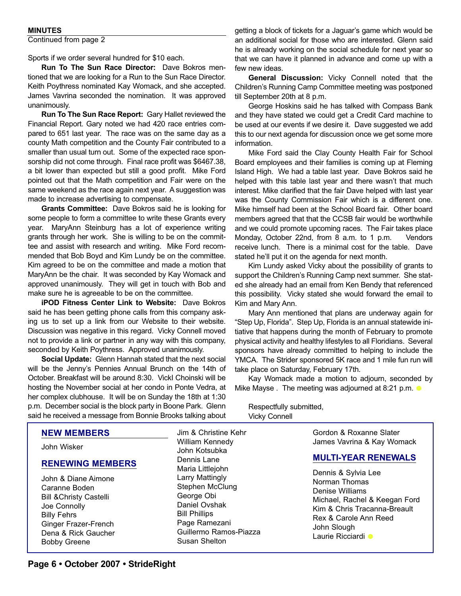#### **MINUTES**

Continued from page 2

Sports if we order several hundred for \$10 each.

**Run To The Sun Race Director:** Dave Bokros mentioned that we are looking for a Run to the Sun Race Director. Keith Poythress nominated Kay Womack, and she accepted. James Vavrina seconded the nomination. It was approved unanimously.

**Run To The Sun Race Report:** Gary Hallet reviewed the Financial Report. Gary noted we had 420 race entries compared to 651 last year. The race was on the same day as a county Math competition and the County Fair contributed to a smaller than usual turn out. Some of the expected race sponsorship did not come through. Final race profit was \$6467.38, a bit lower than expected but still a good profit. Mike Ford pointed out that the Math competition and Fair were on the same weekend as the race again next year. A suggestion was made to increase advertising to compensate.

**Grants Committee:** Dave Bokros said he is looking for some people to form a committee to write these Grants every year. MaryAnn Steinburg has a lot of experience writing grants through her work. She is willing to be on the committee and assist with research and writing. Mike Ford recommended that Bob Boyd and Kim Lundy be on the committee. Kim agreed to be on the committee and made a motion that MaryAnn be the chair. It was seconded by Kay Womack and approved unanimously. They will get in touch with Bob and make sure he is agreeable to be on the committee.

**iPOD Fitness Center Link to Website:** Dave Bokros said he has been getting phone calls from this company asking us to set up a link from our Website to their website. Discussion was negative in this regard. Vicky Connell moved not to provide a link or partner in any way with this company, seconded by Keith Poythress. Approved unanimously.

**Social Update:** Glenn Hannah stated that the next social will be the Jenny's Pennies Annual Brunch on the 14th of October. Breakfast will be around 8:30. VickI Choinski will be hosting the November social at her condo in Ponte Vedra, at her complex clubhouse. It will be on Sunday the 18th at 1:30 p.m. December social is the block party in Boone Park. Glenn said he received a message from Bonnie Brooks talking about

getting a block of tickets for a Jaguar's game which would be an additional social for those who are interested. Glenn said he is already working on the social schedule for next year so that we can have it planned in advance and come up with a few new ideas.

**General Discussion:** Vicky Connell noted that the Children's Running Camp Committee meeting was postponed till September 20th at 8 p.m.

George Hoskins said he has talked with Compass Bank and they have stated we could get a Credit Card machine to be used at our events if we desire it. Dave suggested we add this to our next agenda for discussion once we get some more information.

Mike Ford said the Clay County Health Fair for School Board employees and their families is coming up at Fleming Island High. We had a table last year. Dave Bokros said he helped with this table last year and there wasn't that much interest. Mike clarified that the fair Dave helped with last year was the County Commission Fair which is a different one. Mike himself had been at the School Board fair. Other board members agreed that that the CCSB fair would be worthwhile and we could promote upcoming races. The Fair takes place Monday, October 22nd, from 8 a.m. to 1 p.m. Vendors receive lunch. There is a minimal cost for the table. Dave stated he'll put it on the agenda for next month.

Kim Lundy asked Vicky about the possibility of grants to support the Children's Running Camp next summer. She stated she already had an email from Ken Bendy that referenced this possibility. Vicky stated she would forward the email to Kim and Mary Ann.

Mary Ann mentioned that plans are underway again for "Step Up, Florida". Step Up, Florida is an annual statewide initiative that happens during the month of February to promote physical activity and healthy lifestyles to all Floridians. Several sponsors have already committed to helping to include the YMCA. The Strider sponsored 5K race and 1 mile fun run will take place on Saturday, February 17th.

Kay Womack made a motion to adjourn, seconded by Mike Mayse . The meeting was adjourned at 8:21 p.m.

Respectfully submitted, Vicky Connell

| <b>NEW MEMBERS</b>                                                                                                                                                                     | Jim & Christine Kehr                                                                                                                                  | Gordon & Roxanne Slater                                                                                                                                                                |
|----------------------------------------------------------------------------------------------------------------------------------------------------------------------------------------|-------------------------------------------------------------------------------------------------------------------------------------------------------|----------------------------------------------------------------------------------------------------------------------------------------------------------------------------------------|
| John Wisker                                                                                                                                                                            | William Kennedy<br>John Kotsubka                                                                                                                      | James Vavrina & Kay Womack                                                                                                                                                             |
| <b>RENEWING MEMBERS</b>                                                                                                                                                                | Dennis Lane<br>Maria Littlejohn                                                                                                                       | <b>MULTI-YEAR RENEWALS</b>                                                                                                                                                             |
| John & Diane Aimone<br>Caranne Boden<br><b>Bill &amp; Christy Castelli</b><br>Joe Connolly<br><b>Billy Fehrs</b><br>Ginger Frazer-French<br>Dena & Rick Gaucher<br><b>Bobby Greene</b> | Larry Mattingly<br>Stephen McClung<br>George Obi<br>Daniel Ovshak<br><b>Bill Phillips</b><br>Page Ramezani<br>Guillermo Ramos-Piazza<br>Susan Shelton | Dennis & Sylvia Lee<br>Norman Thomas<br>Denise Williams<br>Michael, Rachel & Keegan Ford<br>Kim & Chris Tracanna-Breault<br>Rex & Carole Ann Reed<br>John Slough<br>Laurie Ricciardi ● |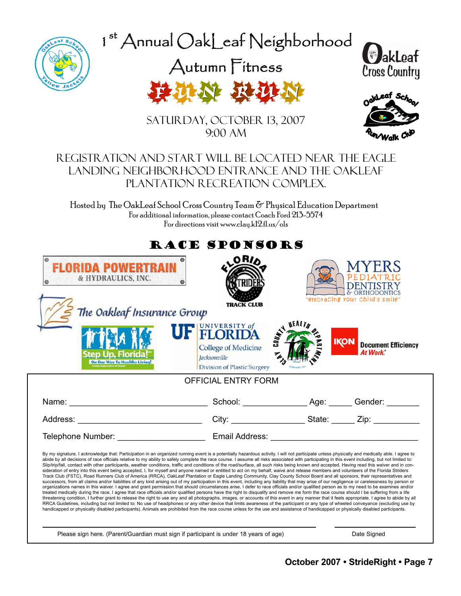

1st Annual OakLeaf Neighborhood

Autumn Fitness







Saturday, October 13, 2007 9:00 AM

### Registration and Start will be located near the Eagle Landing Neighborhood entrance and the OakLeaf Plantation Recreation Complex.

Hosted by The OakLeaf School Cross Country Team & Physical Education Department For additional information, please contact Coach Ford 213-5574 For directions visit www.clay.k12.fl.us/ols

|                                                                                | RACE SPONSORS                                                                                                                                                                                                                                                                                                                                                                                                                                                                                                                                                                                                                                                                                                                                                                                                                                                                                                                                                                                                                                                                                                                                                                                                                                                                                                                                                                                                                                                                                                                                                                                                                                                                                                                                                                                                                                                                                                                                                                                                                                                                                                                                          |               |                                                       |
|--------------------------------------------------------------------------------|--------------------------------------------------------------------------------------------------------------------------------------------------------------------------------------------------------------------------------------------------------------------------------------------------------------------------------------------------------------------------------------------------------------------------------------------------------------------------------------------------------------------------------------------------------------------------------------------------------------------------------------------------------------------------------------------------------------------------------------------------------------------------------------------------------------------------------------------------------------------------------------------------------------------------------------------------------------------------------------------------------------------------------------------------------------------------------------------------------------------------------------------------------------------------------------------------------------------------------------------------------------------------------------------------------------------------------------------------------------------------------------------------------------------------------------------------------------------------------------------------------------------------------------------------------------------------------------------------------------------------------------------------------------------------------------------------------------------------------------------------------------------------------------------------------------------------------------------------------------------------------------------------------------------------------------------------------------------------------------------------------------------------------------------------------------------------------------------------------------------------------------------------------|---------------|-------------------------------------------------------|
| <b>FLORIDA POWERTRAIN</b><br>& HYDRAULICS, INC.<br>The Oakleaf Insurance Group | <b>ORIA</b><br><b>TRACK CLUB</b>                                                                                                                                                                                                                                                                                                                                                                                                                                                                                                                                                                                                                                                                                                                                                                                                                                                                                                                                                                                                                                                                                                                                                                                                                                                                                                                                                                                                                                                                                                                                                                                                                                                                                                                                                                                                                                                                                                                                                                                                                                                                                                                       |               | & ORTHODONTICS<br>"embracing your child's smile"      |
| Step Up. Florida<br>On Our Way To Healthy Living!                              | <b>UF FLORIDA</b><br>$U_{\mu}$<br><b>College of Medicine</b><br><b>Jacksonville</b><br><b>Division of Plastic Surgery</b>                                                                                                                                                                                                                                                                                                                                                                                                                                                                                                                                                                                                                                                                                                                                                                                                                                                                                                                                                                                                                                                                                                                                                                                                                                                                                                                                                                                                                                                                                                                                                                                                                                                                                                                                                                                                                                                                                                                                                                                                                              | <b>NEALTH</b> | <b>IKON</b><br><b>Document Efficiency</b><br>At Work. |
|                                                                                | <b>OFFICIAL ENTRY FORM</b>                                                                                                                                                                                                                                                                                                                                                                                                                                                                                                                                                                                                                                                                                                                                                                                                                                                                                                                                                                                                                                                                                                                                                                                                                                                                                                                                                                                                                                                                                                                                                                                                                                                                                                                                                                                                                                                                                                                                                                                                                                                                                                                             |               |                                                       |
|                                                                                |                                                                                                                                                                                                                                                                                                                                                                                                                                                                                                                                                                                                                                                                                                                                                                                                                                                                                                                                                                                                                                                                                                                                                                                                                                                                                                                                                                                                                                                                                                                                                                                                                                                                                                                                                                                                                                                                                                                                                                                                                                                                                                                                                        |               |                                                       |
|                                                                                |                                                                                                                                                                                                                                                                                                                                                                                                                                                                                                                                                                                                                                                                                                                                                                                                                                                                                                                                                                                                                                                                                                                                                                                                                                                                                                                                                                                                                                                                                                                                                                                                                                                                                                                                                                                                                                                                                                                                                                                                                                                                                                                                                        |               |                                                       |
|                                                                                |                                                                                                                                                                                                                                                                                                                                                                                                                                                                                                                                                                                                                                                                                                                                                                                                                                                                                                                                                                                                                                                                                                                                                                                                                                                                                                                                                                                                                                                                                                                                                                                                                                                                                                                                                                                                                                                                                                                                                                                                                                                                                                                                                        |               |                                                       |
|                                                                                | By my signature, I acknowledge that: Participation in an organized running event is a potentially hazardous activity. I will not participate unless physically and medically able. I agree to<br>abide by all decisions of race officials relative to my ability to safely complete the race course. I assume all risks associated with participating in this event including, but not limited to:<br>Slip/trip/fall, contact with other participants, weather conditions, traffic and conditions of the road/surface, all such risks being known and accepted. Having read this waiver and in con-<br>sideration of entry into this event being accepted, I, for myself and anyone named or entitled to act on my behalf, waive and release members and volunteers of the Florida Striders<br>Track Club (FSTC), Road Runners Club of America (RRCA), OakLeaf Plantation or Eagle Landing Community, Clay County School Board and all sponsors, their representatives and<br>successors, from all claims and/or liabilities of any kind arising out of my participation in this event, including any liability that may arise of our negligence or carelessness by person or<br>organizations names in this waiver. I agree and grant permission that should circumstances arise, I defer to race officials and/or qualified person as to my need to be examines and/or<br>treated medically during the race. I agree that race officials and/or qualified persons have the right to disqualify and remove me form the race course should I be suffering from a life<br>threatening condition, I further grant to release the right to use any and all photographs, images, or accounts of this event in any manner that it feels appropriate. I agree to abide by all<br>RRCA Guidelines, including but not limited to: No use of headphones or any other device that limits awareness of the participant or any type of wheeled conveyance (excluding use by<br>handicapped or physically disabled participants). Animals are prohibited from the race course unless for the use and assistance of handicapped or physically disabled participants. |               |                                                       |
|                                                                                | Please sign here. (Parent/Guardian must sign if participant is under 18 years of age)                                                                                                                                                                                                                                                                                                                                                                                                                                                                                                                                                                                                                                                                                                                                                                                                                                                                                                                                                                                                                                                                                                                                                                                                                                                                                                                                                                                                                                                                                                                                                                                                                                                                                                                                                                                                                                                                                                                                                                                                                                                                  |               | Date Signed                                           |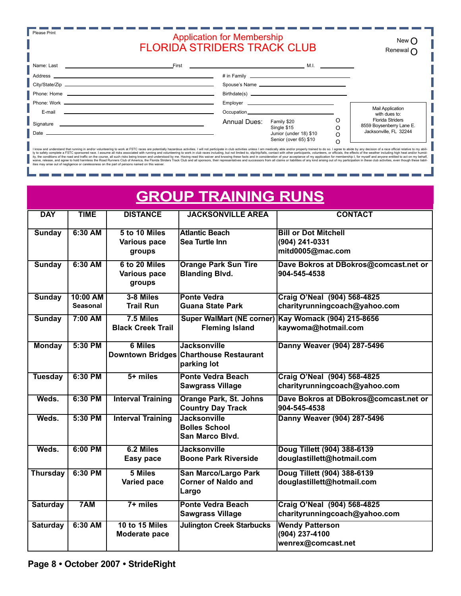| <b>Application for Membership</b><br><b>FLORIDA STRIDERS TRACK CLUB</b> |  |
|-------------------------------------------------------------------------|--|
|                                                                         |  |

New O Renewal O

|                                                                                  | $First$ . The contract of the contract of the contract of the contract of $M, I$ . In the contract of the contract of the contract of the contract of the contract of the contract of the contract of the contract of the contract |   |                                                     |
|----------------------------------------------------------------------------------|------------------------------------------------------------------------------------------------------------------------------------------------------------------------------------------------------------------------------------|---|-----------------------------------------------------|
|                                                                                  |                                                                                                                                                                                                                                    |   |                                                     |
|                                                                                  |                                                                                                                                                                                                                                    |   |                                                     |
|                                                                                  |                                                                                                                                                                                                                                    |   |                                                     |
|                                                                                  |                                                                                                                                                                                                                                    |   |                                                     |
| E-mail<br><u> 1980 - Andrea Station, Amerikaansk politiker († 1903)</u>          |                                                                                                                                                                                                                                    |   | <b>Mail Application</b><br>with dues to:            |
| Signature<br><u> 1989 - Andrea Stadt Branden, amerikansk politiker (d. 1989)</u> | Annual Dues:<br>Family \$20<br>Single \$15                                                                                                                                                                                         | C | <b>Florida Striders</b><br>8559 Boysenberry Lane E. |
| Date $\overline{\phantom{a}}$                                                    | Junior (under 18) \$10<br>Senior (over 65) \$10                                                                                                                                                                                    | O | Jacksonville, FL 32244                              |

I know and understand that running in and/or volunteering to work at FSTC races are potentially hazardous activities. I will not participate in club activities unless lam medically able and/or properly trained to do so. I

a. a. n.

| <b>GROUP TRAINING RUNS</b> |                             |                                                |                                                                              |                                                                            |  |  |
|----------------------------|-----------------------------|------------------------------------------------|------------------------------------------------------------------------------|----------------------------------------------------------------------------|--|--|
| <b>DAY</b>                 | <b>TIME</b>                 | <b>DISTANCE</b>                                | <b>JACKSONVILLE AREA</b>                                                     | <b>CONTACT</b>                                                             |  |  |
| <b>Sunday</b>              | $6:30$ AM                   | 5 to 10 Miles<br><b>Various pace</b><br>groups | <b>Atlantic Beach</b><br>Sea Turtle Inn                                      | <b>Bill or Dot Mitchell</b><br>(904) 241-0331<br>mitd0005@mac.com          |  |  |
| <b>Sunday</b>              | $6:30$ AM                   | 6 to 20 Miles<br>Various pace<br>groups        | <b>Orange Park Sun Tire</b><br><b>Blanding Blvd.</b>                         | Dave Bokros at DBokros@comcast.net or<br>904-545-4538                      |  |  |
| <b>Sunday</b>              | 10:00 AM<br><b>Seasonal</b> | 3-8 Miles<br><b>Trail Run</b>                  | <b>Ponte Vedra</b><br><b>Guana State Park</b>                                | Craig O'Neal (904) 568-4825<br>charityrunningcoach@yahoo.com               |  |  |
| <b>Sunday</b>              | 7:00 AM                     | $7.5$ Miles<br><b>Black Creek Trail</b>        | <b>Fleming Island</b>                                                        | Super WalMart (NE corner) Kay Womack (904) 215-8656<br>kaywoma@hotmail.com |  |  |
| <b>Monday</b>              | 5:30 PM                     | <b>6 Miles</b>                                 | <b>Jacksonville</b><br>Downtown Bridges Charthouse Restaurant<br>parking lot | Danny Weaver (904) 287-5496                                                |  |  |
| <b>Tuesday</b>             | 6:30 PM                     | $5+$ miles                                     | <b>Ponte Vedra Beach</b><br><b>Sawgrass Village</b>                          | Craig O'Neal (904) 568-4825<br>charityrunningcoach@yahoo.com               |  |  |
| Weds.                      | 6:30 PM                     | <b>Interval Training</b>                       | <b>Orange Park, St. Johns</b><br><b>Country Day Track</b>                    | Dave Bokros at DBokros@comcast.net or<br>904-545-4538                      |  |  |
| Weds.                      | 5:30 PM                     | <b>Interval Training</b>                       | Jacksonville<br><b>Bolles School</b><br>San Marco Blvd.                      | Danny Weaver (904) 287-5496                                                |  |  |
| Weds.                      | $6:00$ PM                   | 6.2 Miles<br>Easy pace                         | <b>Jacksonville</b><br><b>Boone Park Riverside</b>                           | Doug Tillett (904) 388-6139<br>douglastillett@hotmail.com                  |  |  |
| <b>Thursday</b>            | 6:30 PM                     | 5 Miles<br>Varied pace                         | <b>San Marco/Largo Park</b><br><b>Corner of Naldo and</b><br>Largo           | Doug Tillett (904) 388-6139<br>douglastillett@hotmail.com                  |  |  |
| <b>Saturday</b>            | 7AM                         | $7+$ miles                                     | <b>Ponte Vedra Beach</b><br><b>Sawgrass Village</b>                          | Craig O'Neal (904) 568-4825<br>charityrunningcoach@yahoo.com               |  |  |
| <b>Saturday</b>            | 6:30 AM                     | 10 to 15 Miles<br>Moderate pace                | <b>Julington Creek Starbucks</b>                                             | <b>Wendy Patterson</b><br>(904) 237-4100<br>wenrex@comcast.net             |  |  |

τ, a,

**Please Print**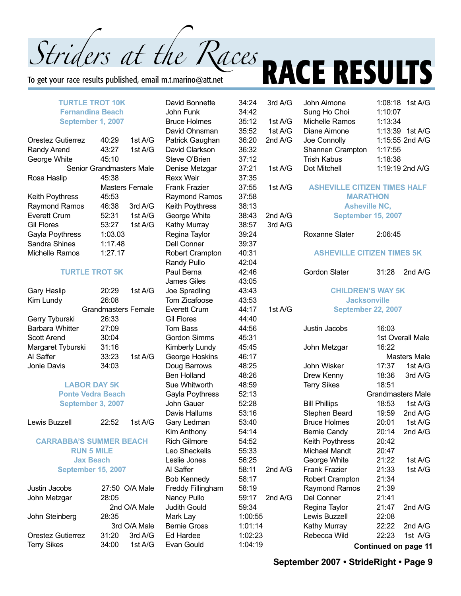To get your race results published, email m.t.marino@att.net

#### **TURTLE TROT 10K Fernandina Beach September 1, 2007**

| Orestez Gutierrez      | 40:29                    | 1st $A/G$      |
|------------------------|--------------------------|----------------|
| Randy Arend            | 43:27                    | 1st $A/G$      |
| George White           | 45:10                    |                |
|                        | Senior Grandmasters Male |                |
| Rosa Haslip            | 45:38                    |                |
|                        |                          | Masters Female |
| <b>Keith Poythress</b> | 45:53                    |                |
| <b>Raymond Ramos</b>   | 46:38                    | 3rdA/G         |
| Everett Crum           | 52:31                    | 1st $A/G$      |
| <b>Gil Flores</b>      | 53:27                    | 1st $A/G$      |
| Gayla Poythress        | 1:03.03                  |                |
| Sandra Shines          | 1:17.48                  |                |
| Michelle Ramos         | 1:27.17                  |                |

#### **TURTLE TROT 5K**

|                   | 1st $A/G$                                                                                          |
|-------------------|----------------------------------------------------------------------------------------------------|
|                   |                                                                                                    |
|                   |                                                                                                    |
|                   |                                                                                                    |
|                   |                                                                                                    |
|                   |                                                                                                    |
|                   |                                                                                                    |
|                   | 1st $A/G$                                                                                          |
|                   |                                                                                                    |
| Margaret Tyburski | 20:29<br>26:08<br><b>Grandmasters Female</b><br>26:33<br>27:09<br>30:04<br>31:16<br>33:23<br>34:03 |

#### **LABOR DAY 5K Ponte Vedra Beach September 3, 2007**

Lewis Buzzell 22:52 1st A/G

#### **CARRABBA'S SUMMER BEACH RUN 5 MILE Jax Beach September 15, 2007**

| Justin Jacobs<br>John Metzgar | 28:05 | 27:50 O/A Male |
|-------------------------------|-------|----------------|
|                               |       | 2nd O/A Male   |
| John Steinberg                | 28:35 |                |
|                               |       | 3rd O/A Male   |
| Orestez Gutierrez             | 31:20 | 3rd A/G        |
| <b>Terry Sikes</b>            | 34:00 | 1st A/G        |

David Bonnette 34:2 John Funk 34:4 Bruce Holmes 35:1 David Ohnsman 35:52 Patrick Gaughan 36:20 David Clarkson 36:32 Steve O'Brien 37:1 Denise Metzgar 37:2 Rexx Weir 37:35 Frank Frazier 37:5 Raymond Ramos 37:58 Keith Poythress 38:13 George White 38:4 Kathy Murray 38:57 Regina Taylor 39:24 Dell Conner 39:37 Robert Crampton 40:3 Randy Pullo 42:04 Paul Berna 42:4 James Giles 43:05 Joe Spradling 43:4 Tom Zicafoose 43:53 Everett Crum 44:17 Gil Flores 44:4 Tom Bass 44:5 Gordon Simms 45:3 Kimberly Lundy 45:4 George Hoskins 46:17 Doug Barrows 48:25 Ben Holland 48:26 Sue Whitworth 48:59 Gayla Poythress 52:13 John Gauer 52:28 Davis Hallums 53:16 Gary Ledman 53:4 Kim Anthony 54:14 Rich Gilmore 54:52 Leo Sheckells 55:33 Leslie Jones 56:25 Al Saffer 58:1 Bob Kennedy 58:1 Freddy Fillingham 58:19 Nancy Pullo 59:17 Judith Gould 59:34 Mark Lav 1:00 Bernie Gross 1:01  $Ed$  Hardee  $1:02$ Evan Gould 1:04

| $\overline{\mathcal{A}}$         | 3rd A/G      | John Aimone                         |         | 1:08:18 1st A/G             |
|----------------------------------|--------------|-------------------------------------|---------|-----------------------------|
| $\overline{c}$                   | Sung Ho Choi |                                     | 1:10:07 |                             |
| $\overline{c}$                   | 1st A/G      | Michelle Ramos                      | 1:13:34 |                             |
| $\overline{2}$                   | 1st A/G      | Diane Aimone                        | 1:13:39 | 1st A/G                     |
|                                  |              |                                     |         |                             |
| 0                                | 2nd A/G      | Joe Connolly                        |         | 1:15:55 2nd A/G             |
| $\overline{2}$                   |              | Shannen Crampton                    | 1:17:55 |                             |
| $\overline{c}$                   |              | <b>Trish Kabus</b>                  | 1:18:38 |                             |
| $\overline{1}$<br>$\overline{5}$ | 1st A/G      | Dot Mitchell                        |         | 1:19:19 2nd A/G             |
| $\overline{5}$                   | 1st A/G      | <b>ASHEVILLE CITIZEN TIMES HALF</b> |         |                             |
| 8                                |              | <b>MARATHON</b>                     |         |                             |
| 3                                |              | <b>Asheville NC,</b>                |         |                             |
| 3                                | 2nd A/G      | September 15, 2007                  |         |                             |
| $\overline{7}$                   | 3rd A/G      |                                     |         |                             |
| 4                                |              | Roxanne Slater                      | 2:06:45 |                             |
| $\overline{7}$                   |              |                                     |         |                             |
| $\overline{1}$<br>4              |              | <b>ASHEVILLE CITIZEN TIMES 5K</b>   |         |                             |
| $6\phantom{1}6$                  |              | <b>Gordon Slater</b>                | 31:28   | 2nd A/G                     |
| 5                                |              |                                     |         |                             |
| 3                                |              | <b>CHILDREN'S WAY 5K</b>            |         |                             |
| $\ddot{\text{3}}$                |              | <b>Jacksonville</b>                 |         |                             |
| $\overline{7}$                   | 1st A/G      | <b>September 22, 2007</b>           |         |                             |
| 0                                |              |                                     |         |                             |
| 6                                |              | Justin Jacobs                       | 16:03   |                             |
| $\overline{1}$                   |              |                                     |         | 1st Overall Male            |
| $\overline{5}$                   |              | John Metzgar                        | 16:22   |                             |
| 7                                |              |                                     |         | <b>Masters Male</b>         |
| 5                                |              | John Wisker                         | 17:37   | 1st A/G                     |
| 6                                |              | Drew Kenny                          | 18:36   | 3rd A/G                     |
| 9                                |              | <b>Terry Sikes</b>                  | 18:51   |                             |
| 3                                |              |                                     |         | <b>Grandmasters Male</b>    |
| 8                                |              | <b>Bill Phillips</b>                | 18:53   | 1st A/G                     |
| 6                                |              | Stephen Beard                       | 19:59   | 2nd A/G                     |
| 0                                |              | <b>Bruce Holmes</b>                 | 20:01   | 1st A/G                     |
| 4                                |              | <b>Bernie Candy</b>                 | 20:14   | 2nd A/G                     |
| $\overline{2}$                   |              | Keith Poythress                     | 20:42   |                             |
| $\mathbf{3}$                     |              | <b>Michael Mandt</b>                | 20:47   |                             |
| $\overline{5}$                   |              | George White                        | 21:22   | 1st A/G                     |
| 1                                | 2nd A/G      | Frank Frazier                       | 21:33   | 1st A/G                     |
| 7                                |              | Robert Crampton                     | 21:34   |                             |
| 9                                |              |                                     | 21:39   |                             |
| 7                                |              | Raymond Ramos                       |         |                             |
|                                  | 2nd A/G      | Del Conner                          | 21:41   |                             |
| 4                                |              | Regina Taylor                       | 21:47   | 2nd A/G                     |
| :55                              |              | Lewis Buzzell                       | 22:08   |                             |
| :14                              |              | Kathy Murray                        | 22:22   | 2nd A/G                     |
| :23                              |              | Rebecca Wild                        | 22:23   | 1st A/G                     |
| :19                              |              |                                     |         | <b>Continued on page 11</b> |

# Striders at the Races **RACE RESULTS**

**September 2007 • StrideRight • Page 9**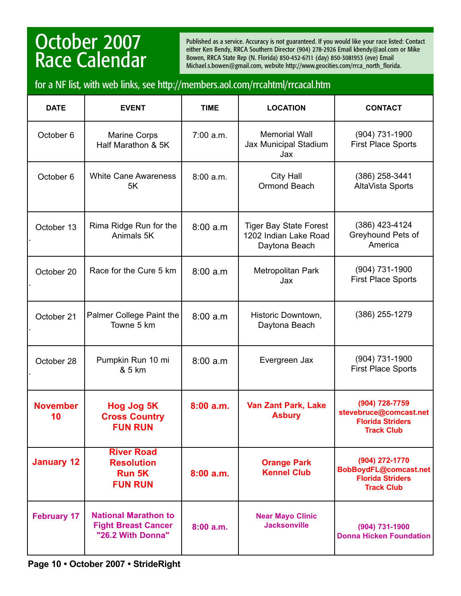## October 2007 Race Calendar

Published as a service. Accuracy is not guaranteed. If you would like your race listed: Contact either Ken Bendy, RRCA Southern Director (904) 278-2926 Email kbendy@aol.com or Mike Bowen, RRCA State Rep (N. Florida) 850-452-6711 (day) 850-3081953 (eve) Email Michael.s.bowen@gmail.com, website http://www.geocities.com/rrca\_north\_florida.

## for a NF list, with web links, see http://members.aol.com/rrcahtml/rrcacal.htm

| <b>DATE</b>           | <b>EVENT</b>                                                                   | <b>TIME</b> | <b>LOCATION</b>                                                         | <b>CONTACT</b>                                                                           |
|-----------------------|--------------------------------------------------------------------------------|-------------|-------------------------------------------------------------------------|------------------------------------------------------------------------------------------|
| October 6             | <b>Marine Corps</b><br>Half Marathon & 5K                                      | 7:00 a.m.   | <b>Memorial Wall</b><br>Jax Municipal Stadium<br>Jax                    | (904) 731-1900<br><b>First Place Sports</b>                                              |
| October 6             | <b>White Cane Awareness</b><br>5K                                              | 8:00 a.m.   | <b>City Hall</b><br>Ormond Beach                                        | (386) 258-3441<br>AltaVista Sports                                                       |
| October 13            | Rima Ridge Run for the<br>Animals 5K                                           | 8:00a.m     | <b>Tiger Bay State Forest</b><br>1202 Indian Lake Road<br>Daytona Beach | (386) 423-4124<br>Greyhound Pets of<br>America                                           |
| October 20            | Race for the Cure 5 km                                                         | 8:00a.m     | Metropolitan Park<br>Jax                                                | (904) 731-1900<br><b>First Place Sports</b>                                              |
| October 21            | Palmer College Paint the<br>Towne 5 km                                         | 8:00a.m     | Historic Downtown,<br>Daytona Beach                                     | (386) 255-1279                                                                           |
| October 28            | Pumpkin Run 10 mi<br>& 5 km                                                    | 8:00a.m     | Evergreen Jax                                                           | (904) 731-1900<br><b>First Place Sports</b>                                              |
| <b>November</b><br>10 | Hog Jog 5K<br><b>Cross Country</b><br><b>FUN RUN</b>                           | 8:00a.m.    | <b>Van Zant Park, Lake</b><br><b>Asbury</b>                             | (904) 728-7759<br>stevebruce@comcast.net<br><b>Florida Striders</b><br><b>Track Club</b> |
| <b>January 12</b>     | <b>River Road</b><br><b>Resolution</b><br><b>Run 5K</b><br><b>FUN RUN</b>      | 8:00a.m.    | <b>Orange Park</b><br><b>Kennel Club</b>                                | (904) 272-1770<br>BobBoydFL@comcast.net<br><b>Florida Striders</b><br><b>Track Club</b>  |
| <b>February 17</b>    | <b>National Marathon to</b><br><b>Fight Breast Cancer</b><br>"26.2 With Donna" | 8:00a.m.    | <b>Near Mayo Clinic</b><br><b>Jacksonville</b>                          | (904) 731-1900<br><b>Donna Hicken Foundation</b>                                         |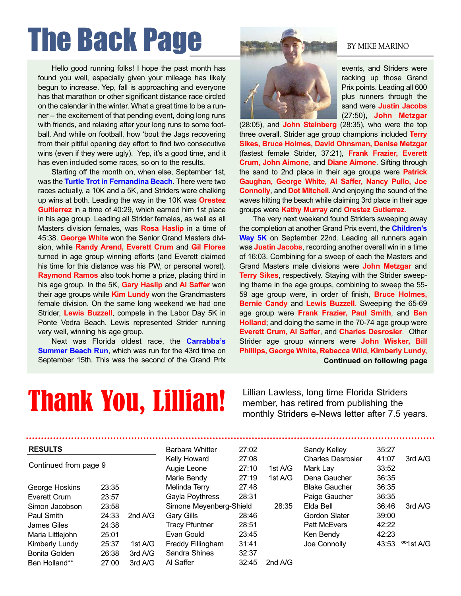# The Back Page BY MIKE MARINO

Hello good running folks! I hope the past month has found you well, especially given your mileage has likely begun to increase. Yep, fall is approaching and everyone has that marathon or other significant distance race circled on the calendar in the winter. What a great time to be a runner – the excitement of that pending event, doing long runs with friends, and relaxing after your long runs to some football. And while on football, how 'bout the Jags recovering from their pitiful opening day effort to find two consecutive wins (even if they were ugly). Yep, it's a good time, and it has even included some races, so on to the results.

Starting off the month on, when else, September 1st, was the **Turtle Trot in Fernandina Beach**. There were two races actually, a 10K and a 5K, and Striders were chalking up wins at both. Leading the way in the 10K was **Orestez Guitierrez** in a time of 40:29, which earned him 1st place in his age group. Leading all Strider females, as well as all Masters division females, was **Rosa Haslip** in a time of 45:38. **George White** won the Senior Grand Masters division, while **Randy Arend, Everett Crum** and **Gil Flores** turned in age group winning efforts (and Everett claimed his time for this distance was his PW, or personal worst). **Raymond Ramos** also took home a prize, placing third in his age group. In the 5K, **Gary Haslip** and **Al Saffer** won their age groups while **Kim Lundy** won the Grandmasters female division. On the same long weekend we had one Strider, **Lewis Buzzell**, compete in the Labor Day 5K in Ponte Vedra Beach. Lewis represented Strider running very well, winning his age group.

Next was Florida oldest race, the **Carrabba's Summer Beach Run, which was run for the 43rd time on** September 15th. This was the second of the Grand Prix

events, and Striders were racking up those Grand Prix points. Leading all 600 plus runners through the sand were **Justin Jacobs** (27:50), **John Metzgar**

(28:05), and **John Steinberg** (28:35), who were the top three overall. Strider age group champions included **Terry Sikes, Bruce Holmes, David Ohnsman, Denise Metzgar** (fastest female Strider, 37:21), **Frank Frazier, Everett Crum, John Aimone**, and **Diane Aimone**. Sifting through the sand to 2nd place in their age groups were **Patrick Gaughan, George White, Al Saffer, Nancy Pullo, Joe Connolly**, and **Dot Mitchell**. And enjoying the sound of the waves hitting the beach while claiming 3rd place in their age groups were **Kathy Murray** and **Orestez Gutierrez**.

The very next weekend found Striders sweeping away the completion at another Grand Prix event, the **Children's Way 5K** on September 22nd. Leading all runners again was **Justin Jacobs**, recording another overall win in a time of 16:03. Combining for a sweep of each the Masters and Grand Masters male divisions were **John Metzgar** and **Terry Sikes**, respectively. Staying with the Strider sweeping theme in the age groups, combining to sweep the 55- 59 age group were, in order of finish, **Bruce Holmes, Bernie Candy** and **Lewis Buzzell**. Sweeping the 65-69 age group were **Frank Frazier, Paul Smith**, and **Ben Holland**; and doing the same in the 70-74 age group were **Everett Crum, Al Saffer**, and **Charles Desrosier**. Other Strider age group winners were **John Wisker, Bill Phillips, George White, Rebecca Wild, Kimberly Lundy, Continued on following page**

## **Thank You, Lillian!** Elillian Lawless, long time Florida Striders<br>member, has retired from publishing the<br>monthly Striders e-News letter after 7.5 years.

Lillian Lawless, long time Florida Striders

| <b>RESULTS</b>        |       |           | Barbara Whitter         | 27:02 |           | Sandy Kelley             | 35:27 |                       |
|-----------------------|-------|-----------|-------------------------|-------|-----------|--------------------------|-------|-----------------------|
| Continued from page 9 |       |           | Kelly Howard            | 27:08 |           | <b>Charles Desrosier</b> | 41:07 | 3rd A/G               |
|                       |       |           | Augie Leone             | 27:10 | 1st A/G   | Mark Lay                 | 33:52 |                       |
|                       |       |           | Marie Bendy             | 27:19 | 1st $A/G$ | Dena Gaucher             | 36:35 |                       |
| George Hoskins        | 23:35 |           | Melinda Terry           | 27:48 |           | <b>Blake Gaucher</b>     | 36:35 |                       |
| Everett Crum          | 23:57 |           | Gayla Poythress         | 28:31 |           | Paige Gaucher            | 36:35 |                       |
| Simon Jacobson        | 23:58 |           | Simone Meyenberg-Shield |       | 28:35     | Elda Bell                | 36:46 | 3rd A/G               |
| Paul Smith            | 24:33 | 2nd $A/G$ | <b>Gary Gills</b>       | 28:46 |           | Gordon Slater            | 39:00 |                       |
| James Giles           | 24:38 |           | <b>Tracy Pfuntner</b>   | 28:51 |           | <b>Patt McEvers</b>      | 42:22 |                       |
| Maria Littlejohn      | 25:01 |           | Evan Gould              | 23:45 |           | Ken Bendy                | 42:23 |                       |
| Kimberly Lundy        | 25:37 | 1st A/G   | Freddy Fillingham       | 31:41 |           | Joe Connolly             | 43:53 | <sup>oo</sup> 1st A/G |
| Bonita Golden         | 26:38 | 3rd A/G   | Sandra Shines           | 32:37 |           |                          |       |                       |
| Ben Holland**         | 27:00 | 3rd A/G   | Al Saffer               | 32:45 | 2nd $A/G$ |                          |       |                       |